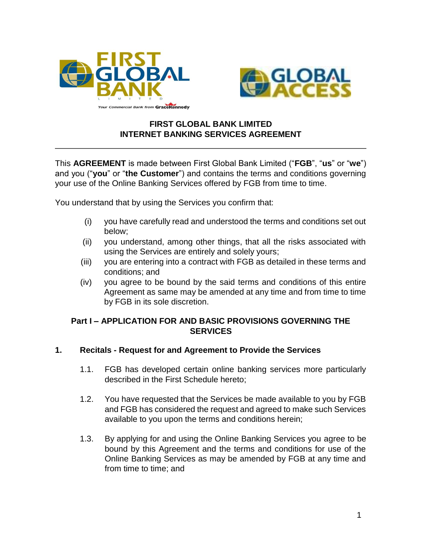



# **FIRST GLOBAL BANK LIMITED INTERNET BANKING SERVICES AGREEMENT**

This **AGREEMENT** is made between First Global Bank Limited ("**FGB**", "**us**" or "**we**") and you ("**you**" or "**the Customer**") and contains the terms and conditions governing your use of the Online Banking Services offered by FGB from time to time.

You understand that by using the Services you confirm that:

- (i) you have carefully read and understood the terms and conditions set out below;
- (ii) you understand, among other things, that all the risks associated with using the Services are entirely and solely yours;
- (iii) you are entering into a contract with FGB as detailed in these terms and conditions; and
- (iv) you agree to be bound by the said terms and conditions of this entire Agreement as same may be amended at any time and from time to time by FGB in its sole discretion.

# **Part I – APPLICATION FOR AND BASIC PROVISIONS GOVERNING THE SERVICES**

# **1. Recitals - Request for and Agreement to Provide the Services**

- 1.1. FGB has developed certain online banking services more particularly described in the First Schedule hereto;
- 1.2. You have requested that the Services be made available to you by FGB and FGB has considered the request and agreed to make such Services available to you upon the terms and conditions herein;
- 1.3. By applying for and using the Online Banking Services you agree to be bound by this Agreement and the terms and conditions for use of the Online Banking Services as may be amended by FGB at any time and from time to time; and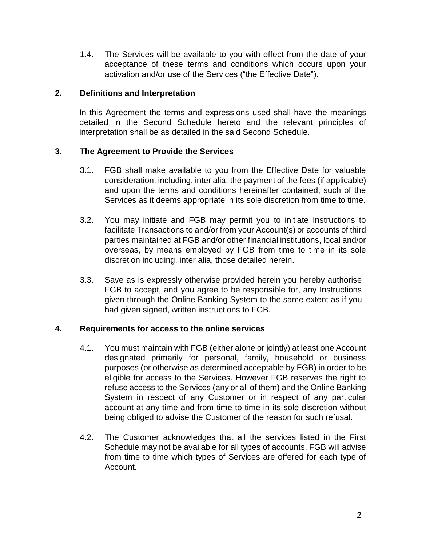1.4. The Services will be available to you with effect from the date of your acceptance of these terms and conditions which occurs upon your activation and/or use of the Services ("the Effective Date").

### **2. Definitions and Interpretation**

In this Agreement the terms and expressions used shall have the meanings detailed in the Second Schedule hereto and the relevant principles of interpretation shall be as detailed in the said Second Schedule.

### **3. The Agreement to Provide the Services**

- 3.1. FGB shall make available to you from the Effective Date for valuable consideration, including, inter alia, the payment of the fees (if applicable) and upon the terms and conditions hereinafter contained, such of the Services as it deems appropriate in its sole discretion from time to time.
- 3.2. You may initiate and FGB may permit you to initiate Instructions to facilitate Transactions to and/or from your Account(s) or accounts of third parties maintained at FGB and/or other financial institutions, local and/or overseas, by means employed by FGB from time to time in its sole discretion including, inter alia, those detailed herein.
- 3.3. Save as is expressly otherwise provided herein you hereby authorise FGB to accept, and you agree to be responsible for, any Instructions given through the Online Banking System to the same extent as if you had given signed, written instructions to FGB.

#### **4. Requirements for access to the online services**

- 4.1. You must maintain with FGB (either alone or jointly) at least one Account designated primarily for personal, family, household or business purposes (or otherwise as determined acceptable by FGB) in order to be eligible for access to the Services. However FGB reserves the right to refuse access to the Services (any or all of them) and the Online Banking System in respect of any Customer or in respect of any particular account at any time and from time to time in its sole discretion without being obliged to advise the Customer of the reason for such refusal.
- 4.2. The Customer acknowledges that all the services listed in the First Schedule may not be available for all types of accounts. FGB will advise from time to time which types of Services are offered for each type of Account.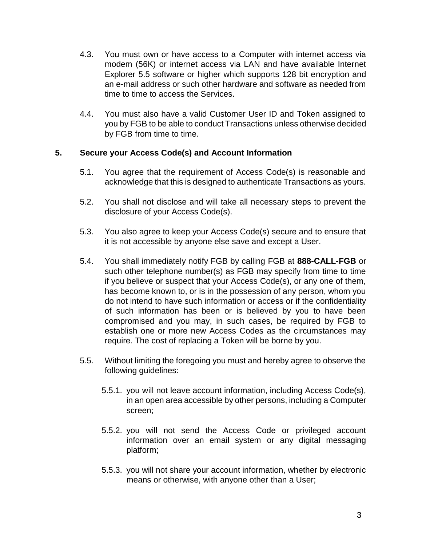- 4.3. You must own or have access to a Computer with internet access via modem (56K) or internet access via LAN and have available Internet Explorer 5.5 software or higher which supports 128 bit encryption and an e-mail address or such other hardware and software as needed from time to time to access the Services.
- 4.4. You must also have a valid Customer User ID and Token assigned to you by FGB to be able to conduct Transactions unless otherwise decided by FGB from time to time.

# **5. Secure your Access Code(s) and Account Information**

- 5.1. You agree that the requirement of Access Code(s) is reasonable and acknowledge that this is designed to authenticate Transactions as yours.
- 5.2. You shall not disclose and will take all necessary steps to prevent the disclosure of your Access Code(s).
- 5.3. You also agree to keep your Access Code(s) secure and to ensure that it is not accessible by anyone else save and except a User.
- 5.4. You shall immediately notify FGB by calling FGB at **888-CALL-FGB** or such other telephone number(s) as FGB may specify from time to time if you believe or suspect that your Access Code(s), or any one of them, has become known to, or is in the possession of any person, whom you do not intend to have such information or access or if the confidentiality of such information has been or is believed by you to have been compromised and you may, in such cases, be required by FGB to establish one or more new Access Codes as the circumstances may require. The cost of replacing a Token will be borne by you.
- 5.5. Without limiting the foregoing you must and hereby agree to observe the following guidelines:
	- 5.5.1. you will not leave account information, including Access Code(s), in an open area accessible by other persons, including a Computer screen;
	- 5.5.2. you will not send the Access Code or privileged account information over an email system or any digital messaging platform;
	- 5.5.3. you will not share your account information, whether by electronic means or otherwise, with anyone other than a User;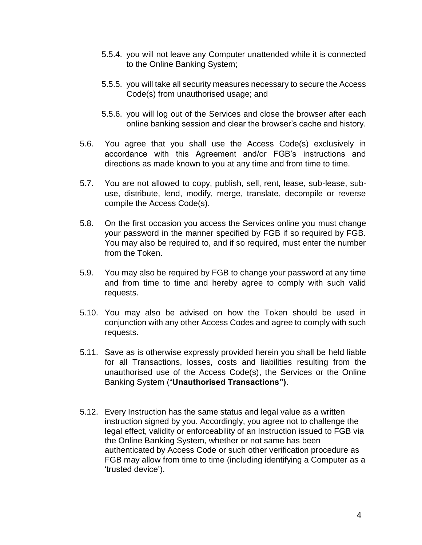- 5.5.4. you will not leave any Computer unattended while it is connected to the Online Banking System;
- 5.5.5. you will take all security measures necessary to secure the Access Code(s) from unauthorised usage; and
- 5.5.6. you will log out of the Services and close the browser after each online banking session and clear the browser's cache and history.
- 5.6. You agree that you shall use the Access Code(s) exclusively in accordance with this Agreement and/or FGB's instructions and directions as made known to you at any time and from time to time.
- 5.7. You are not allowed to copy, publish, sell, rent, lease, sub-lease, subuse, distribute, lend, modify, merge, translate, decompile or reverse compile the Access Code(s).
- 5.8. On the first occasion you access the Services online you must change your password in the manner specified by FGB if so required by FGB. You may also be required to, and if so required, must enter the number from the Token.
- 5.9. You may also be required by FGB to change your password at any time and from time to time and hereby agree to comply with such valid requests.
- 5.10. You may also be advised on how the Token should be used in conjunction with any other Access Codes and agree to comply with such requests.
- 5.11. Save as is otherwise expressly provided herein you shall be held liable for all Transactions, losses, costs and liabilities resulting from the unauthorised use of the Access Code(s), the Services or the Online Banking System ("**Unauthorised Transactions")**.
- 5.12. Every Instruction has the same status and legal value as a written instruction signed by you. Accordingly, you agree not to challenge the legal effect, validity or enforceability of an Instruction issued to FGB via the Online Banking System, whether or not same has been authenticated by Access Code or such other verification procedure as FGB may allow from time to time (including identifying a Computer as a 'trusted device').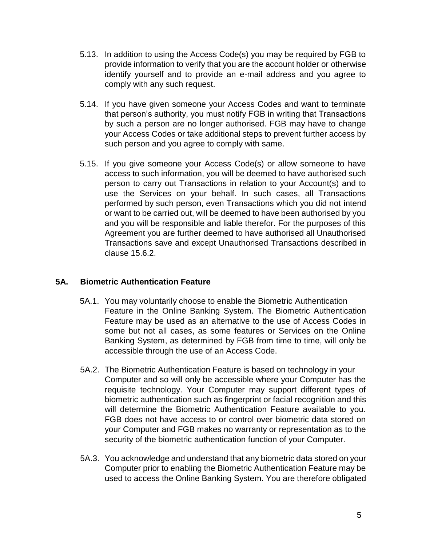- 5.13. In addition to using the Access Code(s) you may be required by FGB to provide information to verify that you are the account holder or otherwise identify yourself and to provide an e-mail address and you agree to comply with any such request.
- 5.14. If you have given someone your Access Codes and want to terminate that person's authority, you must notify FGB in writing that Transactions by such a person are no longer authorised. FGB may have to change your Access Codes or take additional steps to prevent further access by such person and you agree to comply with same.
- 5.15. If you give someone your Access Code(s) or allow someone to have access to such information, you will be deemed to have authorised such person to carry out Transactions in relation to your Account(s) and to use the Services on your behalf. In such cases, all Transactions performed by such person, even Transactions which you did not intend or want to be carried out, will be deemed to have been authorised by you and you will be responsible and liable therefor. For the purposes of this Agreement you are further deemed to have authorised all Unauthorised Transactions save and except Unauthorised Transactions described in clause 15.6.2.

# **5A. Biometric Authentication Feature**

- 5A.1. You may voluntarily choose to enable the Biometric Authentication Feature in the Online Banking System. The Biometric Authentication Feature may be used as an alternative to the use of Access Codes in some but not all cases, as some features or Services on the Online Banking System, as determined by FGB from time to time, will only be accessible through the use of an Access Code.
- 5A.2. The Biometric Authentication Feature is based on technology in your Computer and so will only be accessible where your Computer has the requisite technology. Your Computer may support different types of biometric authentication such as fingerprint or facial recognition and this will determine the Biometric Authentication Feature available to you. FGB does not have access to or control over biometric data stored on your Computer and FGB makes no warranty or representation as to the security of the biometric authentication function of your Computer.
- 5A.3. You acknowledge and understand that any biometric data stored on your Computer prior to enabling the Biometric Authentication Feature may be used to access the Online Banking System. You are therefore obligated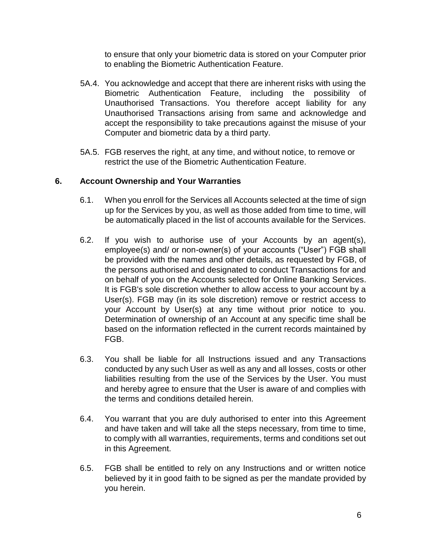to ensure that only your biometric data is stored on your Computer prior to enabling the Biometric Authentication Feature.

- 5A.4. You acknowledge and accept that there are inherent risks with using the Biometric Authentication Feature, including the possibility of Unauthorised Transactions. You therefore accept liability for any Unauthorised Transactions arising from same and acknowledge and accept the responsibility to take precautions against the misuse of your Computer and biometric data by a third party.
- 5A.5. FGB reserves the right, at any time, and without notice, to remove or restrict the use of the Biometric Authentication Feature.

# **6. Account Ownership and Your Warranties**

- 6.1. When you enroll for the Services all Accounts selected at the time of sign up for the Services by you, as well as those added from time to time, will be automatically placed in the list of accounts available for the Services.
- 6.2. If you wish to authorise use of your Accounts by an agent(s), employee(s) and/ or non-owner(s) of your accounts ("User") FGB shall be provided with the names and other details, as requested by FGB, of the persons authorised and designated to conduct Transactions for and on behalf of you on the Accounts selected for Online Banking Services. It is FGB's sole discretion whether to allow access to your account by a User(s). FGB may (in its sole discretion) remove or restrict access to your Account by User(s) at any time without prior notice to you. Determination of ownership of an Account at any specific time shall be based on the information reflected in the current records maintained by FGB.
- 6.3. You shall be liable for all Instructions issued and any Transactions conducted by any such User as well as any and all losses, costs or other liabilities resulting from the use of the Services by the User. You must and hereby agree to ensure that the User is aware of and complies with the terms and conditions detailed herein.
- 6.4. You warrant that you are duly authorised to enter into this Agreement and have taken and will take all the steps necessary, from time to time, to comply with all warranties, requirements, terms and conditions set out in this Agreement.
- 6.5. FGB shall be entitled to rely on any Instructions and or written notice believed by it in good faith to be signed as per the mandate provided by you herein.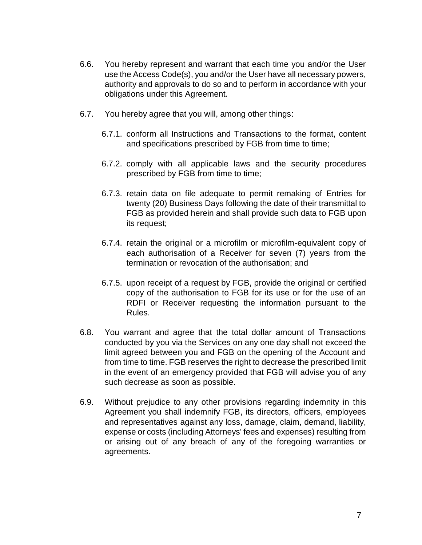- 6.6. You hereby represent and warrant that each time you and/or the User use the Access Code(s), you and/or the User have all necessary powers, authority and approvals to do so and to perform in accordance with your obligations under this Agreement.
- 6.7. You hereby agree that you will, among other things:
	- 6.7.1. conform all Instructions and Transactions to the format, content and specifications prescribed by FGB from time to time;
	- 6.7.2. comply with all applicable laws and the security procedures prescribed by FGB from time to time;
	- 6.7.3. retain data on file adequate to permit remaking of Entries for twenty (20) Business Days following the date of their transmittal to FGB as provided herein and shall provide such data to FGB upon its request;
	- 6.7.4. retain the original or a microfilm or microfilm-equivalent copy of each authorisation of a Receiver for seven (7) years from the termination or revocation of the authorisation; and
	- 6.7.5. upon receipt of a request by FGB, provide the original or certified copy of the authorisation to FGB for its use or for the use of an RDFI or Receiver requesting the information pursuant to the Rules.
- 6.8. You warrant and agree that the total dollar amount of Transactions conducted by you via the Services on any one day shall not exceed the limit agreed between you and FGB on the opening of the Account and from time to time. FGB reserves the right to decrease the prescribed limit in the event of an emergency provided that FGB will advise you of any such decrease as soon as possible.
- 6.9. Without prejudice to any other provisions regarding indemnity in this Agreement you shall indemnify FGB, its directors, officers, employees and representatives against any loss, damage, claim, demand, liability, expense or costs (including Attorneys' fees and expenses) resulting from or arising out of any breach of any of the foregoing warranties or agreements.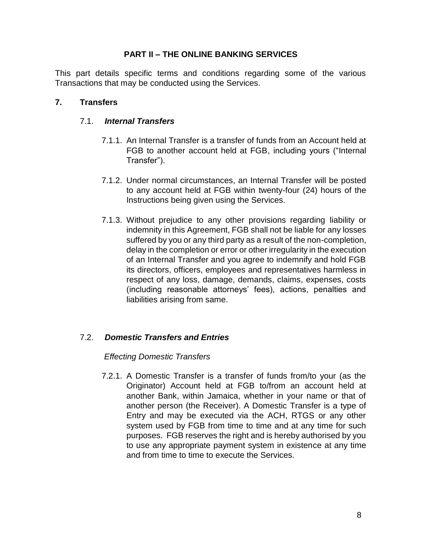### **PART II – THE ONLINE BANKING SERVICES**

This part details specific terms and conditions regarding some of the various Transactions that may be conducted using the Services.

### **7. Transfers**

#### 7.1. *Internal Transfers*

- 7.1.1. An Internal Transfer is a transfer of funds from an Account held at FGB to another account held at FGB, including yours ("Internal Transfer").
- 7.1.2. Under normal circumstances, an Internal Transfer will be posted to any account held at FGB within twenty-four (24) hours of the Instructions being given using the Services.
- 7.1.3. Without prejudice to any other provisions regarding liability or indemnity in this Agreement, FGB shall not be liable for any losses suffered by you or any third party as a result of the non-completion, delay in the completion or error or other irregularity in the execution of an Internal Transfer and you agree to indemnify and hold FGB its directors, officers, employees and representatives harmless in respect of any loss, damage, demands, claims, expenses, costs (including reasonable attorneys' fees), actions, penalties and liabilities arising from same.

# 7.2. *Domestic Transfers and Entries*

#### *Effecting Domestic Transfers*

7.2.1. A Domestic Transfer is a transfer of funds from/to your (as the Originator) Account held at FGB to/from an account held at another Bank, within Jamaica, whether in your name or that of another person (the Receiver). A Domestic Transfer is a type of Entry and may be executed via the ACH, RTGS or any other system used by FGB from time to time and at any time for such purposes. FGB reserves the right and is hereby authorised by you to use any appropriate payment system in existence at any time and from time to time to execute the Services.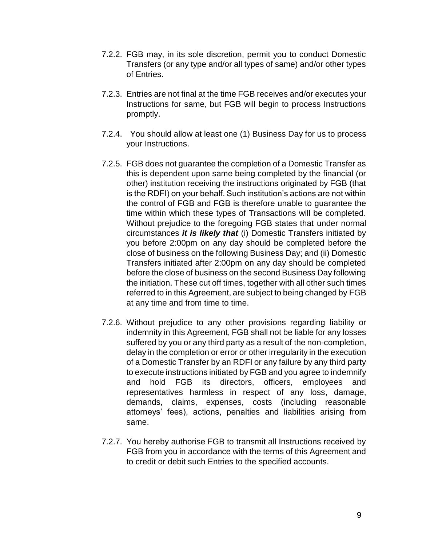- 7.2.2. FGB may, in its sole discretion, permit you to conduct Domestic Transfers (or any type and/or all types of same) and/or other types of Entries.
- 7.2.3. Entries are not final at the time FGB receives and/or executes your Instructions for same, but FGB will begin to process Instructions promptly.
- 7.2.4. You should allow at least one (1) Business Day for us to process your Instructions.
- 7.2.5. FGB does not guarantee the completion of a Domestic Transfer as this is dependent upon same being completed by the financial (or other) institution receiving the instructions originated by FGB (that is the RDFI) on your behalf. Such institution's actions are not within the control of FGB and FGB is therefore unable to guarantee the time within which these types of Transactions will be completed. Without prejudice to the foregoing FGB states that under normal circumstances *it is likely that* (i) Domestic Transfers initiated by you before 2:00pm on any day should be completed before the close of business on the following Business Day; and (ii) Domestic Transfers initiated after 2:00pm on any day should be completed before the close of business on the second Business Day following the initiation. These cut off times, together with all other such times referred to in this Agreement, are subject to being changed by FGB at any time and from time to time.
- 7.2.6. Without prejudice to any other provisions regarding liability or indemnity in this Agreement, FGB shall not be liable for any losses suffered by you or any third party as a result of the non-completion, delay in the completion or error or other irregularity in the execution of a Domestic Transfer by an RDFI or any failure by any third party to execute instructions initiated by FGB and you agree to indemnify and hold FGB its directors, officers, employees and representatives harmless in respect of any loss, damage, demands, claims, expenses, costs (including reasonable attorneys' fees), actions, penalties and liabilities arising from same.
- 7.2.7. You hereby authorise FGB to transmit all Instructions received by FGB from you in accordance with the terms of this Agreement and to credit or debit such Entries to the specified accounts.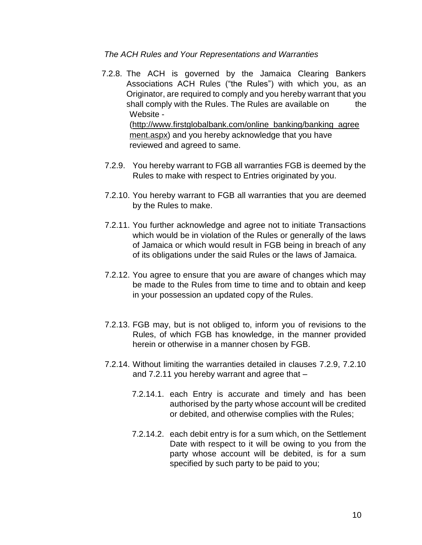*The ACH Rules and Your Representations and Warranties* 

7.2.8. The ACH is governed by the Jamaica Clearing Bankers Associations ACH Rules ("the Rules") with which you, as an Originator, are required to comply and you hereby warrant that you shall comply with the Rules. The Rules are available on the Website -

(http://www.firstglob[albank.com/online\\_banking/banking\\_agree](http://www.firstglobal-bank.com/online_banking/banking_agreement.aspx) [ment.aspx\)](http://www.firstglobal-bank.com/online_banking/banking_agreement.aspx) and you hereby acknowledge that you have reviewed and agreed to same.

- 7.2.9. You hereby warrant to FGB all warranties FGB is deemed by the Rules to make with respect to Entries originated by you.
- 7.2.10. You hereby warrant to FGB all warranties that you are deemed by the Rules to make.
- 7.2.11. You further acknowledge and agree not to initiate Transactions which would be in violation of the Rules or generally of the laws of Jamaica or which would result in FGB being in breach of any of its obligations under the said Rules or the laws of Jamaica.
- 7.2.12. You agree to ensure that you are aware of changes which may be made to the Rules from time to time and to obtain and keep in your possession an updated copy of the Rules.
- 7.2.13. FGB may, but is not obliged to, inform you of revisions to the Rules, of which FGB has knowledge, in the manner provided herein or otherwise in a manner chosen by FGB.
- 7.2.14. Without limiting the warranties detailed in clauses 7.2.9, 7.2.10 and 7.2.11 you hereby warrant and agree that –
	- 7.2.14.1. each Entry is accurate and timely and has been authorised by the party whose account will be credited or debited, and otherwise complies with the Rules;
	- 7.2.14.2. each debit entry is for a sum which, on the Settlement Date with respect to it will be owing to you from the party whose account will be debited, is for a sum specified by such party to be paid to you;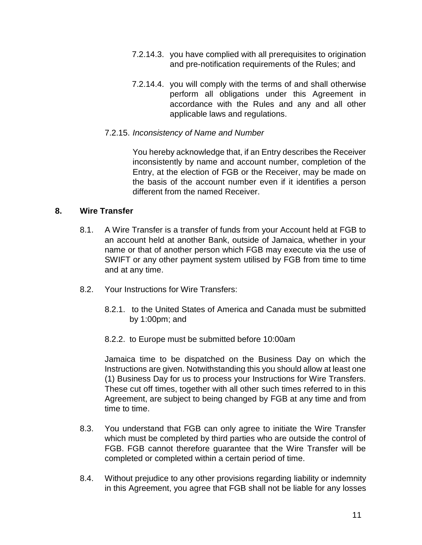- 7.2.14.3. you have complied with all prerequisites to origination and pre-notification requirements of the Rules; and
- 7.2.14.4. you will comply with the terms of and shall otherwise perform all obligations under this Agreement in accordance with the Rules and any and all other applicable laws and regulations.

### 7.2.15. *Inconsistency of Name and Number*

You hereby acknowledge that, if an Entry describes the Receiver inconsistently by name and account number, completion of the Entry, at the election of FGB or the Receiver, may be made on the basis of the account number even if it identifies a person different from the named Receiver.

# **8. Wire Transfer**

- 8.1. A Wire Transfer is a transfer of funds from your Account held at FGB to an account held at another Bank, outside of Jamaica, whether in your name or that of another person which FGB may execute via the use of SWIFT or any other payment system utilised by FGB from time to time and at any time.
- 8.2. Your Instructions for Wire Transfers:
	- 8.2.1. to the United States of America and Canada must be submitted by 1:00pm; and
	- 8.2.2. to Europe must be submitted before 10:00am

Jamaica time to be dispatched on the Business Day on which the Instructions are given. Notwithstanding this you should allow at least one (1) Business Day for us to process your Instructions for Wire Transfers. These cut off times, together with all other such times referred to in this Agreement, are subject to being changed by FGB at any time and from time to time.

- 8.3. You understand that FGB can only agree to initiate the Wire Transfer which must be completed by third parties who are outside the control of FGB. FGB cannot therefore guarantee that the Wire Transfer will be completed or completed within a certain period of time.
- 8.4. Without prejudice to any other provisions regarding liability or indemnity in this Agreement, you agree that FGB shall not be liable for any losses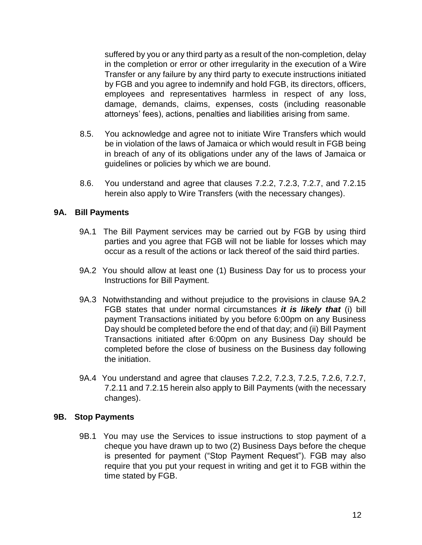suffered by you or any third party as a result of the non-completion, delay in the completion or error or other irregularity in the execution of a Wire Transfer or any failure by any third party to execute instructions initiated by FGB and you agree to indemnify and hold FGB, its directors, officers, employees and representatives harmless in respect of any loss, damage, demands, claims, expenses, costs (including reasonable attorneys' fees), actions, penalties and liabilities arising from same.

- 8.5. You acknowledge and agree not to initiate Wire Transfers which would be in violation of the laws of Jamaica or which would result in FGB being in breach of any of its obligations under any of the laws of Jamaica or guidelines or policies by which we are bound.
- 8.6. You understand and agree that clauses 7.2.2, 7.2.3, 7.2.7, and 7.2.15 herein also apply to Wire Transfers (with the necessary changes).

# **9A. Bill Payments**

- 9A.1 The Bill Payment services may be carried out by FGB by using third parties and you agree that FGB will not be liable for losses which may occur as a result of the actions or lack thereof of the said third parties.
- 9A.2 You should allow at least one (1) Business Day for us to process your Instructions for Bill Payment.
- 9A.3 Notwithstanding and without prejudice to the provisions in clause 9A.2 FGB states that under normal circumstances *it is likely that* (i) bill payment Transactions initiated by you before 6:00pm on any Business Day should be completed before the end of that day; and (ii) Bill Payment Transactions initiated after 6:00pm on any Business Day should be completed before the close of business on the Business day following the initiation.
- 9A.4 You understand and agree that clauses 7.2.2, 7.2.3, 7.2.5, 7.2.6, 7.2.7, 7.2.11 and 7.2.15 herein also apply to Bill Payments (with the necessary changes).

#### **9B. Stop Payments**

9B.1 You may use the Services to issue instructions to stop payment of a cheque you have drawn up to two (2) Business Days before the cheque is presented for payment ("Stop Payment Request"). FGB may also require that you put your request in writing and get it to FGB within the time stated by FGB.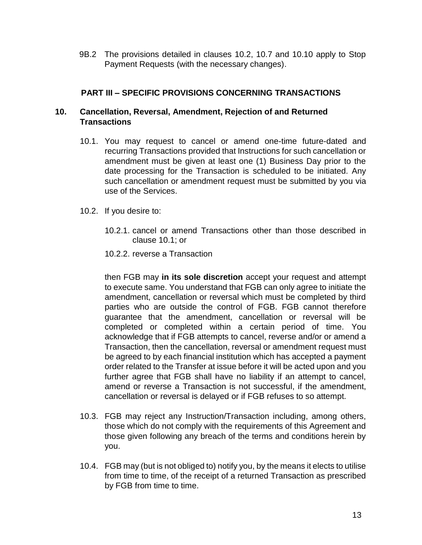9B.2 The provisions detailed in clauses 10.2, 10.7 and 10.10 apply to Stop Payment Requests (with the necessary changes).

# **PART III – SPECIFIC PROVISIONS CONCERNING TRANSACTIONS**

### **10. Cancellation, Reversal, Amendment, Rejection of and Returned Transactions**

- 10.1. You may request to cancel or amend one-time future-dated and recurring Transactions provided that Instructions for such cancellation or amendment must be given at least one (1) Business Day prior to the date processing for the Transaction is scheduled to be initiated. Any such cancellation or amendment request must be submitted by you via use of the Services.
- 10.2. If you desire to:
	- 10.2.1. cancel or amend Transactions other than those described in clause 10.1; or
	- 10.2.2. reverse a Transaction

then FGB may **in its sole discretion** accept your request and attempt to execute same. You understand that FGB can only agree to initiate the amendment, cancellation or reversal which must be completed by third parties who are outside the control of FGB. FGB cannot therefore guarantee that the amendment, cancellation or reversal will be completed or completed within a certain period of time. You acknowledge that if FGB attempts to cancel, reverse and/or or amend a Transaction, then the cancellation, reversal or amendment request must be agreed to by each financial institution which has accepted a payment order related to the Transfer at issue before it will be acted upon and you further agree that FGB shall have no liability if an attempt to cancel, amend or reverse a Transaction is not successful, if the amendment, cancellation or reversal is delayed or if FGB refuses to so attempt.

- 10.3. FGB may reject any Instruction/Transaction including, among others, those which do not comply with the requirements of this Agreement and those given following any breach of the terms and conditions herein by you.
- 10.4. FGB may (but is not obliged to) notify you, by the means it elects to utilise from time to time, of the receipt of a returned Transaction as prescribed by FGB from time to time.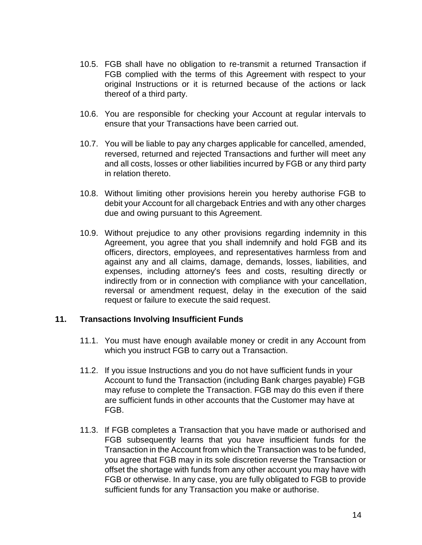- 10.5. FGB shall have no obligation to re-transmit a returned Transaction if FGB complied with the terms of this Agreement with respect to your original Instructions or it is returned because of the actions or lack thereof of a third party.
- 10.6. You are responsible for checking your Account at regular intervals to ensure that your Transactions have been carried out.
- 10.7. You will be liable to pay any charges applicable for cancelled, amended, reversed, returned and rejected Transactions and further will meet any and all costs, losses or other liabilities incurred by FGB or any third party in relation thereto.
- 10.8. Without limiting other provisions herein you hereby authorise FGB to debit your Account for all chargeback Entries and with any other charges due and owing pursuant to this Agreement.
- 10.9. Without prejudice to any other provisions regarding indemnity in this Agreement, you agree that you shall indemnify and hold FGB and its officers, directors, employees, and representatives harmless from and against any and all claims, damage, demands, losses, liabilities, and expenses, including attorney's fees and costs, resulting directly or indirectly from or in connection with compliance with your cancellation, reversal or amendment request, delay in the execution of the said request or failure to execute the said request.

#### **11. Transactions Involving Insufficient Funds**

- 11.1. You must have enough available money or credit in any Account from which you instruct FGB to carry out a Transaction.
- 11.2. If you issue Instructions and you do not have sufficient funds in your Account to fund the Transaction (including Bank charges payable) FGB may refuse to complete the Transaction. FGB may do this even if there are sufficient funds in other accounts that the Customer may have at FGB.
- 11.3. If FGB completes a Transaction that you have made or authorised and FGB subsequently learns that you have insufficient funds for the Transaction in the Account from which the Transaction was to be funded, you agree that FGB may in its sole discretion reverse the Transaction or offset the shortage with funds from any other account you may have with FGB or otherwise. In any case, you are fully obligated to FGB to provide sufficient funds for any Transaction you make or authorise.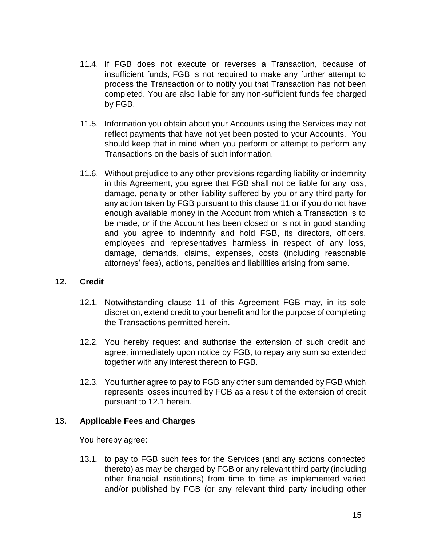- 11.4. If FGB does not execute or reverses a Transaction, because of insufficient funds, FGB is not required to make any further attempt to process the Transaction or to notify you that Transaction has not been completed. You are also liable for any non-sufficient funds fee charged by FGB.
- 11.5. Information you obtain about your Accounts using the Services may not reflect payments that have not yet been posted to your Accounts. You should keep that in mind when you perform or attempt to perform any Transactions on the basis of such information.
- 11.6. Without prejudice to any other provisions regarding liability or indemnity in this Agreement, you agree that FGB shall not be liable for any loss, damage, penalty or other liability suffered by you or any third party for any action taken by FGB pursuant to this clause 11 or if you do not have enough available money in the Account from which a Transaction is to be made, or if the Account has been closed or is not in good standing and you agree to indemnify and hold FGB, its directors, officers, employees and representatives harmless in respect of any loss, damage, demands, claims, expenses, costs (including reasonable attorneys' fees), actions, penalties and liabilities arising from same.

# **12. Credit**

- 12.1. Notwithstanding clause 11 of this Agreement FGB may, in its sole discretion, extend credit to your benefit and for the purpose of completing the Transactions permitted herein.
- 12.2. You hereby request and authorise the extension of such credit and agree, immediately upon notice by FGB, to repay any sum so extended together with any interest thereon to FGB.
- 12.3. You further agree to pay to FGB any other sum demanded by FGB which represents losses incurred by FGB as a result of the extension of credit pursuant to 12.1 herein.

#### **13. Applicable Fees and Charges**

You hereby agree:

13.1. to pay to FGB such fees for the Services (and any actions connected thereto) as may be charged by FGB or any relevant third party (including other financial institutions) from time to time as implemented varied and/or published by FGB (or any relevant third party including other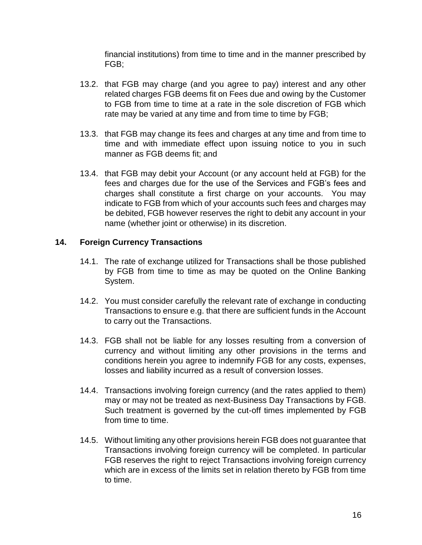financial institutions) from time to time and in the manner prescribed by FGB;

- 13.2. that FGB may charge (and you agree to pay) interest and any other related charges FGB deems fit on Fees due and owing by the Customer to FGB from time to time at a rate in the sole discretion of FGB which rate may be varied at any time and from time to time by FGB;
- 13.3. that FGB may change its fees and charges at any time and from time to time and with immediate effect upon issuing notice to you in such manner as FGB deems fit; and
- 13.4. that FGB may debit your Account (or any account held at FGB) for the fees and charges due for the use of the Services and FGB's fees and charges shall constitute a first charge on your accounts. You may indicate to FGB from which of your accounts such fees and charges may be debited, FGB however reserves the right to debit any account in your name (whether joint or otherwise) in its discretion.

# **14. Foreign Currency Transactions**

- 14.1. The rate of exchange utilized for Transactions shall be those published by FGB from time to time as may be quoted on the Online Banking System.
- 14.2. You must consider carefully the relevant rate of exchange in conducting Transactions to ensure e.g. that there are sufficient funds in the Account to carry out the Transactions.
- 14.3. FGB shall not be liable for any losses resulting from a conversion of currency and without limiting any other provisions in the terms and conditions herein you agree to indemnify FGB for any costs, expenses, losses and liability incurred as a result of conversion losses.
- 14.4. Transactions involving foreign currency (and the rates applied to them) may or may not be treated as next-Business Day Transactions by FGB. Such treatment is governed by the cut-off times implemented by FGB from time to time.
- 14.5. Without limiting any other provisions herein FGB does not guarantee that Transactions involving foreign currency will be completed. In particular FGB reserves the right to reject Transactions involving foreign currency which are in excess of the limits set in relation thereto by FGB from time to time.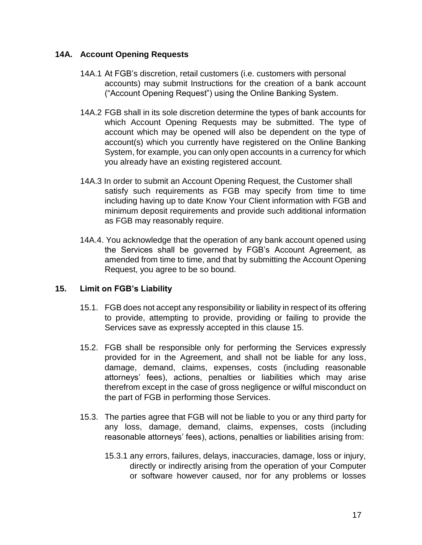### **14A. Account Opening Requests**

- 14A.1 At FGB's discretion, retail customers (i.e. customers with personal accounts) may submit Instructions for the creation of a bank account ("Account Opening Request") using the Online Banking System.
- 14A.2 FGB shall in its sole discretion determine the types of bank accounts for which Account Opening Requests may be submitted. The type of account which may be opened will also be dependent on the type of account(s) which you currently have registered on the Online Banking System, for example, you can only open accounts in a currency for which you already have an existing registered account.
- 14A.3 In order to submit an Account Opening Request, the Customer shall satisfy such requirements as FGB may specify from time to time including having up to date Know Your Client information with FGB and minimum deposit requirements and provide such additional information as FGB may reasonably require.
- 14A.4. You acknowledge that the operation of any bank account opened using the Services shall be governed by FGB's Account Agreement, as amended from time to time, and that by submitting the Account Opening Request, you agree to be so bound.

# **15. Limit on FGB's Liability**

- 15.1. FGB does not accept any responsibility or liability in respect of its offering to provide, attempting to provide, providing or failing to provide the Services save as expressly accepted in this clause 15.
- 15.2. FGB shall be responsible only for performing the Services expressly provided for in the Agreement, and shall not be liable for any loss, damage, demand, claims, expenses, costs (including reasonable attorneys' fees), actions, penalties or liabilities which may arise therefrom except in the case of gross negligence or wilful misconduct on the part of FGB in performing those Services.
- 15.3. The parties agree that FGB will not be liable to you or any third party for any loss, damage, demand, claims, expenses, costs (including reasonable attorneys' fees), actions, penalties or liabilities arising from:
	- 15.3.1 any errors, failures, delays, inaccuracies, damage, loss or injury, directly or indirectly arising from the operation of your Computer or software however caused, nor for any problems or losses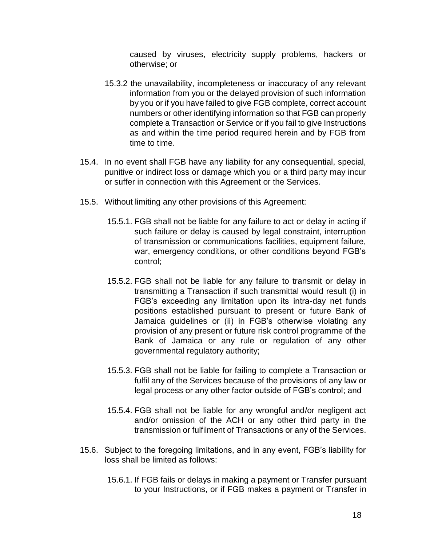caused by viruses, electricity supply problems, hackers or otherwise; or

- 15.3.2 the unavailability, incompleteness or inaccuracy of any relevant information from you or the delayed provision of such information by you or if you have failed to give FGB complete, correct account numbers or other identifying information so that FGB can properly complete a Transaction or Service or if you fail to give Instructions as and within the time period required herein and by FGB from time to time.
- 15.4. In no event shall FGB have any liability for any consequential, special, punitive or indirect loss or damage which you or a third party may incur or suffer in connection with this Agreement or the Services.
- 15.5. Without limiting any other provisions of this Agreement:
	- 15.5.1. FGB shall not be liable for any failure to act or delay in acting if such failure or delay is caused by legal constraint, interruption of transmission or communications facilities, equipment failure, war, emergency conditions, or other conditions beyond FGB's control;
	- 15.5.2. FGB shall not be liable for any failure to transmit or delay in transmitting a Transaction if such transmittal would result (i) in FGB's exceeding any limitation upon its intra-day net funds positions established pursuant to present or future Bank of Jamaica guidelines or (ii) in FGB's otherwise violating any provision of any present or future risk control programme of the Bank of Jamaica or any rule or regulation of any other governmental regulatory authority;
	- 15.5.3. FGB shall not be liable for failing to complete a Transaction or fulfil any of the Services because of the provisions of any law or legal process or any other factor outside of FGB's control; and
	- 15.5.4. FGB shall not be liable for any wrongful and/or negligent act and/or omission of the ACH or any other third party in the transmission or fulfilment of Transactions or any of the Services.
- 15.6. Subject to the foregoing limitations, and in any event, FGB's liability for loss shall be limited as follows:
	- 15.6.1. If FGB fails or delays in making a payment or Transfer pursuant to your Instructions, or if FGB makes a payment or Transfer in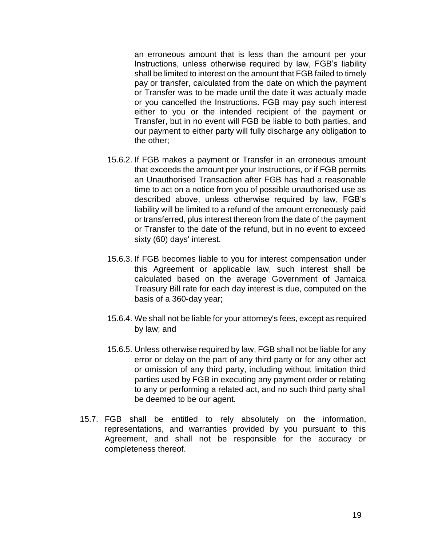an erroneous amount that is less than the amount per your Instructions, unless otherwise required by law, FGB's liability shall be limited to interest on the amount that FGB failed to timely pay or transfer, calculated from the date on which the payment or Transfer was to be made until the date it was actually made or you cancelled the Instructions. FGB may pay such interest either to you or the intended recipient of the payment or Transfer, but in no event will FGB be liable to both parties, and our payment to either party will fully discharge any obligation to the other;

- 15.6.2. If FGB makes a payment or Transfer in an erroneous amount that exceeds the amount per your Instructions, or if FGB permits an Unauthorised Transaction after FGB has had a reasonable time to act on a notice from you of possible unauthorised use as described above, unless otherwise required by law, FGB's liability will be limited to a refund of the amount erroneously paid or transferred, plus interest thereon from the date of the payment or Transfer to the date of the refund, but in no event to exceed sixty (60) days' interest.
- 15.6.3. If FGB becomes liable to you for interest compensation under this Agreement or applicable law, such interest shall be calculated based on the average Government of Jamaica Treasury Bill rate for each day interest is due, computed on the basis of a 360-day year;
- 15.6.4. We shall not be liable for your attorney's fees, except as required by law; and
- 15.6.5. Unless otherwise required by law, FGB shall not be liable for any error or delay on the part of any third party or for any other act or omission of any third party, including without limitation third parties used by FGB in executing any payment order or relating to any or performing a related act, and no such third party shall be deemed to be our agent.
- 15.7. FGB shall be entitled to rely absolutely on the information, representations, and warranties provided by you pursuant to this Agreement, and shall not be responsible for the accuracy or completeness thereof.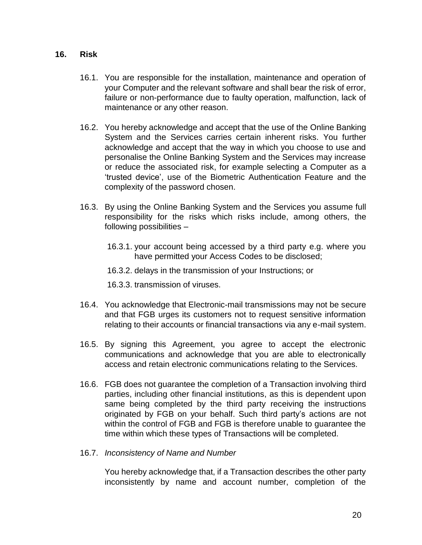#### **16. Risk**

- 16.1. You are responsible for the installation, maintenance and operation of your Computer and the relevant software and shall bear the risk of error, failure or non-performance due to faulty operation, malfunction, lack of maintenance or any other reason.
- 16.2. You hereby acknowledge and accept that the use of the Online Banking System and the Services carries certain inherent risks. You further acknowledge and accept that the way in which you choose to use and personalise the Online Banking System and the Services may increase or reduce the associated risk, for example selecting a Computer as a 'trusted device', use of the Biometric Authentication Feature and the complexity of the password chosen.
- 16.3. By using the Online Banking System and the Services you assume full responsibility for the risks which risks include, among others, the following possibilities –
	- 16.3.1. your account being accessed by a third party e.g. where you have permitted your Access Codes to be disclosed;
	- 16.3.2. delays in the transmission of your Instructions; or
	- 16.3.3. transmission of viruses.
- 16.4. You acknowledge that Electronic-mail transmissions may not be secure and that FGB urges its customers not to request sensitive information relating to their accounts or financial transactions via any e-mail system.
- 16.5. By signing this Agreement, you agree to accept the electronic communications and acknowledge that you are able to electronically access and retain electronic communications relating to the Services.
- 16.6. FGB does not guarantee the completion of a Transaction involving third parties, including other financial institutions, as this is dependent upon same being completed by the third party receiving the instructions originated by FGB on your behalf. Such third party's actions are not within the control of FGB and FGB is therefore unable to guarantee the time within which these types of Transactions will be completed.
- 16.7. *Inconsistency of Name and Number*

You hereby acknowledge that, if a Transaction describes the other party inconsistently by name and account number, completion of the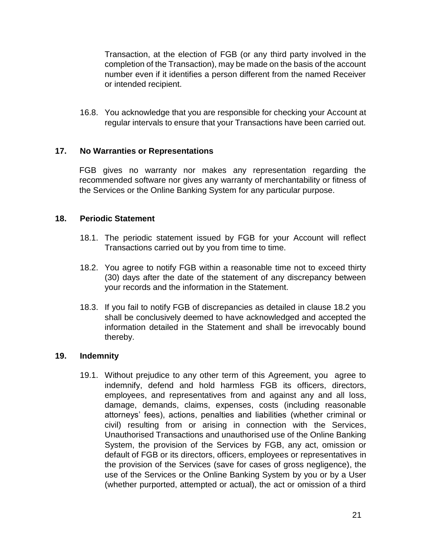Transaction, at the election of FGB (or any third party involved in the completion of the Transaction), may be made on the basis of the account number even if it identifies a person different from the named Receiver or intended recipient.

16.8. You acknowledge that you are responsible for checking your Account at regular intervals to ensure that your Transactions have been carried out.

### **17. No Warranties or Representations**

FGB gives no warranty nor makes any representation regarding the recommended software nor gives any warranty of merchantability or fitness of the Services or the Online Banking System for any particular purpose.

### **18. Periodic Statement**

- 18.1. The periodic statement issued by FGB for your Account will reflect Transactions carried out by you from time to time.
- 18.2. You agree to notify FGB within a reasonable time not to exceed thirty (30) days after the date of the statement of any discrepancy between your records and the information in the Statement.
- 18.3. If you fail to notify FGB of discrepancies as detailed in clause 18.2 you shall be conclusively deemed to have acknowledged and accepted the information detailed in the Statement and shall be irrevocably bound thereby.

#### **19. Indemnity**

19.1. Without prejudice to any other term of this Agreement, you agree to indemnify, defend and hold harmless FGB its officers, directors, employees, and representatives from and against any and all loss, damage, demands, claims, expenses, costs (including reasonable attorneys' fees), actions, penalties and liabilities (whether criminal or civil) resulting from or arising in connection with the Services, Unauthorised Transactions and unauthorised use of the Online Banking System, the provision of the Services by FGB, any act, omission or default of FGB or its directors, officers, employees or representatives in the provision of the Services (save for cases of gross negligence), the use of the Services or the Online Banking System by you or by a User (whether purported, attempted or actual), the act or omission of a third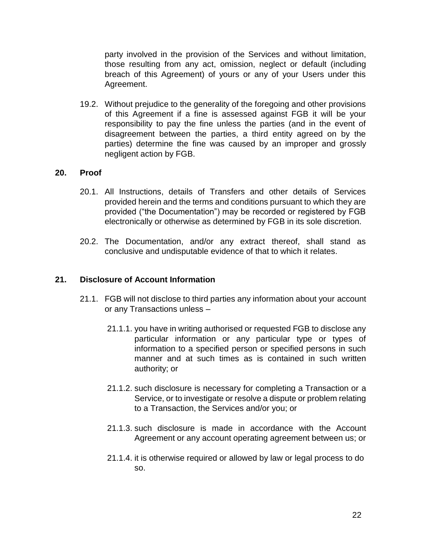party involved in the provision of the Services and without limitation, those resulting from any act, omission, neglect or default (including breach of this Agreement) of yours or any of your Users under this Agreement.

19.2. Without prejudice to the generality of the foregoing and other provisions of this Agreement if a fine is assessed against FGB it will be your responsibility to pay the fine unless the parties (and in the event of disagreement between the parties, a third entity agreed on by the parties) determine the fine was caused by an improper and grossly negligent action by FGB.

#### **20. Proof**

- 20.1. All Instructions, details of Transfers and other details of Services provided herein and the terms and conditions pursuant to which they are provided ("the Documentation") may be recorded or registered by FGB electronically or otherwise as determined by FGB in its sole discretion.
- 20.2. The Documentation, and/or any extract thereof, shall stand as conclusive and undisputable evidence of that to which it relates.

#### **21. Disclosure of Account Information**

- 21.1. FGB will not disclose to third parties any information about your account or any Transactions unless –
	- 21.1.1. you have in writing authorised or requested FGB to disclose any particular information or any particular type or types of information to a specified person or specified persons in such manner and at such times as is contained in such written authority; or
	- 21.1.2. such disclosure is necessary for completing a Transaction or a Service, or to investigate or resolve a dispute or problem relating to a Transaction, the Services and/or you; or
	- 21.1.3. such disclosure is made in accordance with the Account Agreement or any account operating agreement between us; or
	- 21.1.4. it is otherwise required or allowed by law or legal process to do so.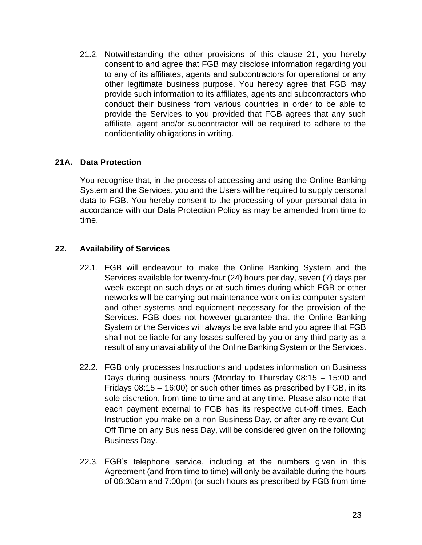21.2. Notwithstanding the other provisions of this clause 21, you hereby consent to and agree that FGB may disclose information regarding you to any of its affiliates, agents and subcontractors for operational or any other legitimate business purpose. You hereby agree that FGB may provide such information to its affiliates, agents and subcontractors who conduct their business from various countries in order to be able to provide the Services to you provided that FGB agrees that any such affiliate, agent and/or subcontractor will be required to adhere to the confidentiality obligations in writing.

### **21A. Data Protection**

You recognise that, in the process of accessing and using the Online Banking System and the Services, you and the Users will be required to supply personal data to FGB. You hereby consent to the processing of your personal data in accordance with our Data Protection Policy as may be amended from time to time.

### **22. Availability of Services**

- 22.1. FGB will endeavour to make the Online Banking System and the Services available for twenty-four (24) hours per day, seven (7) days per week except on such days or at such times during which FGB or other networks will be carrying out maintenance work on its computer system and other systems and equipment necessary for the provision of the Services. FGB does not however guarantee that the Online Banking System or the Services will always be available and you agree that FGB shall not be liable for any losses suffered by you or any third party as a result of any unavailability of the Online Banking System or the Services.
- 22.2. FGB only processes Instructions and updates information on Business Days during business hours (Monday to Thursday 08:15 – 15:00 and Fridays 08:15 – 16:00) or such other times as prescribed by FGB, in its sole discretion, from time to time and at any time. Please also note that each payment external to FGB has its respective cut-off times. Each Instruction you make on a non-Business Day, or after any relevant Cut-Off Time on any Business Day, will be considered given on the following Business Day.
- 22.3. FGB's telephone service, including at the numbers given in this Agreement (and from time to time) will only be available during the hours of 08:30am and 7:00pm (or such hours as prescribed by FGB from time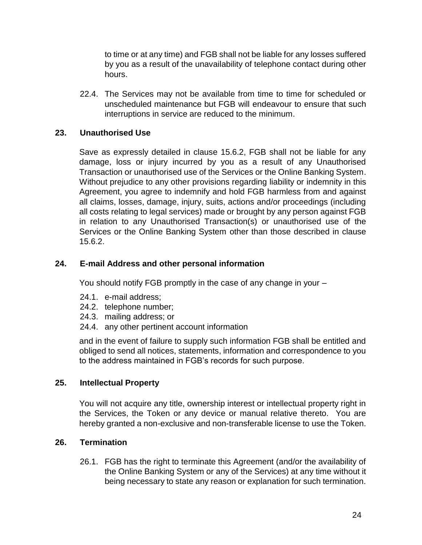to time or at any time) and FGB shall not be liable for any losses suffered by you as a result of the unavailability of telephone contact during other hours.

22.4. The Services may not be available from time to time for scheduled or unscheduled maintenance but FGB will endeavour to ensure that such interruptions in service are reduced to the minimum.

# **23. Unauthorised Use**

Save as expressly detailed in clause 15.6.2, FGB shall not be liable for any damage, loss or injury incurred by you as a result of any Unauthorised Transaction or unauthorised use of the Services or the Online Banking System. Without prejudice to any other provisions regarding liability or indemnity in this Agreement, you agree to indemnify and hold FGB harmless from and against all claims, losses, damage, injury, suits, actions and/or proceedings (including all costs relating to legal services) made or brought by any person against FGB in relation to any Unauthorised Transaction(s) or unauthorised use of the Services or the Online Banking System other than those described in clause 15.6.2.

# **24. E-mail Address and other personal information**

You should notify FGB promptly in the case of any change in your –

- 24.1. e-mail address;
- 24.2. telephone number;
- 24.3. mailing address; or
- 24.4. any other pertinent account information

and in the event of failure to supply such information FGB shall be entitled and obliged to send all notices, statements, information and correspondence to you to the address maintained in FGB's records for such purpose.

# **25. Intellectual Property**

You will not acquire any title, ownership interest or intellectual property right in the Services, the Token or any device or manual relative thereto. You are hereby granted a non-exclusive and non-transferable license to use the Token.

# **26. Termination**

26.1. FGB has the right to terminate this Agreement (and/or the availability of the Online Banking System or any of the Services) at any time without it being necessary to state any reason or explanation for such termination.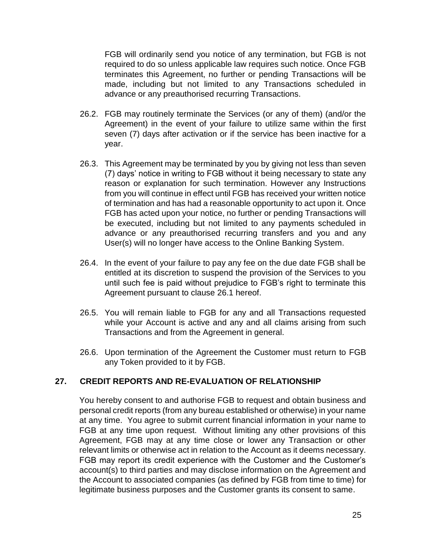FGB will ordinarily send you notice of any termination, but FGB is not required to do so unless applicable law requires such notice. Once FGB terminates this Agreement, no further or pending Transactions will be made, including but not limited to any Transactions scheduled in advance or any preauthorised recurring Transactions.

- 26.2. FGB may routinely terminate the Services (or any of them) (and/or the Agreement) in the event of your failure to utilize same within the first seven (7) days after activation or if the service has been inactive for a year.
- 26.3. This Agreement may be terminated by you by giving not less than seven (7) days' notice in writing to FGB without it being necessary to state any reason or explanation for such termination. However any Instructions from you will continue in effect until FGB has received your written notice of termination and has had a reasonable opportunity to act upon it. Once FGB has acted upon your notice, no further or pending Transactions will be executed, including but not limited to any payments scheduled in advance or any preauthorised recurring transfers and you and any User(s) will no longer have access to the Online Banking System.
- 26.4. In the event of your failure to pay any fee on the due date FGB shall be entitled at its discretion to suspend the provision of the Services to you until such fee is paid without prejudice to FGB's right to terminate this Agreement pursuant to clause 26.1 hereof.
- 26.5. You will remain liable to FGB for any and all Transactions requested while your Account is active and any and all claims arising from such Transactions and from the Agreement in general.
- 26.6. Upon termination of the Agreement the Customer must return to FGB any Token provided to it by FGB.

# **27. CREDIT REPORTS AND RE-EVALUATION OF RELATIONSHIP**

You hereby consent to and authorise FGB to request and obtain business and personal credit reports (from any bureau established or otherwise) in your name at any time. You agree to submit current financial information in your name to FGB at any time upon request. Without limiting any other provisions of this Agreement, FGB may at any time close or lower any Transaction or other relevant limits or otherwise act in relation to the Account as it deems necessary. FGB may report its credit experience with the Customer and the Customer's account(s) to third parties and may disclose information on the Agreement and the Account to associated companies (as defined by FGB from time to time) for legitimate business purposes and the Customer grants its consent to same.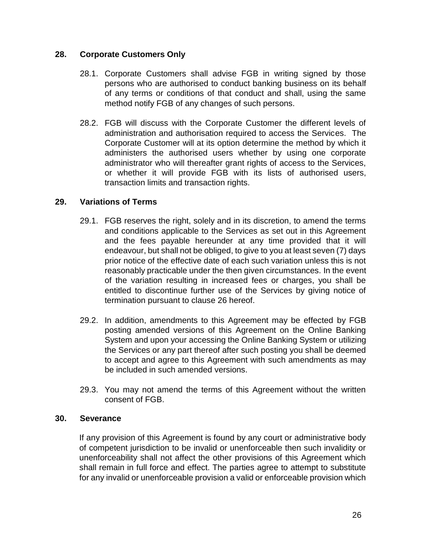### **28. Corporate Customers Only**

- 28.1. Corporate Customers shall advise FGB in writing signed by those persons who are authorised to conduct banking business on its behalf of any terms or conditions of that conduct and shall, using the same method notify FGB of any changes of such persons.
- 28.2. FGB will discuss with the Corporate Customer the different levels of administration and authorisation required to access the Services. The Corporate Customer will at its option determine the method by which it administers the authorised users whether by using one corporate administrator who will thereafter grant rights of access to the Services, or whether it will provide FGB with its lists of authorised users, transaction limits and transaction rights.

### **29. Variations of Terms**

- 29.1. FGB reserves the right, solely and in its discretion, to amend the terms and conditions applicable to the Services as set out in this Agreement and the fees payable hereunder at any time provided that it will endeavour, but shall not be obliged, to give to you at least seven (7) days prior notice of the effective date of each such variation unless this is not reasonably practicable under the then given circumstances. In the event of the variation resulting in increased fees or charges, you shall be entitled to discontinue further use of the Services by giving notice of termination pursuant to clause 26 hereof.
- 29.2. In addition, amendments to this Agreement may be effected by FGB posting amended versions of this Agreement on the Online Banking System and upon your accessing the Online Banking System or utilizing the Services or any part thereof after such posting you shall be deemed to accept and agree to this Agreement with such amendments as may be included in such amended versions.
- 29.3. You may not amend the terms of this Agreement without the written consent of FGB.

#### **30. Severance**

If any provision of this Agreement is found by any court or administrative body of competent jurisdiction to be invalid or unenforceable then such invalidity or unenforceability shall not affect the other provisions of this Agreement which shall remain in full force and effect. The parties agree to attempt to substitute for any invalid or unenforceable provision a valid or enforceable provision which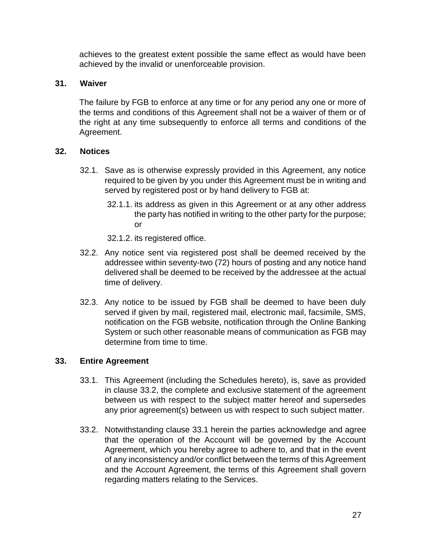achieves to the greatest extent possible the same effect as would have been achieved by the invalid or unenforceable provision.

# **31. Waiver**

The failure by FGB to enforce at any time or for any period any one or more of the terms and conditions of this Agreement shall not be a waiver of them or of the right at any time subsequently to enforce all terms and conditions of the Agreement.

# **32. Notices**

- 32.1. Save as is otherwise expressly provided in this Agreement, any notice required to be given by you under this Agreement must be in writing and served by registered post or by hand delivery to FGB at:
	- 32.1.1. its address as given in this Agreement or at any other address the party has notified in writing to the other party for the purpose; or
	- 32.1.2. its registered office.
- 32.2. Any notice sent via registered post shall be deemed received by the addressee within seventy-two (72) hours of posting and any notice hand delivered shall be deemed to be received by the addressee at the actual time of delivery.
- 32.3. Any notice to be issued by FGB shall be deemed to have been duly served if given by mail, registered mail, electronic mail, facsimile, SMS, notification on the FGB website, notification through the Online Banking System or such other reasonable means of communication as FGB may determine from time to time.

# **33. Entire Agreement**

- 33.1. This Agreement (including the Schedules hereto), is, save as provided in clause 33.2, the complete and exclusive statement of the agreement between us with respect to the subject matter hereof and supersedes any prior agreement(s) between us with respect to such subject matter.
- 33.2. Notwithstanding clause 33.1 herein the parties acknowledge and agree that the operation of the Account will be governed by the Account Agreement, which you hereby agree to adhere to, and that in the event of any inconsistency and/or conflict between the terms of this Agreement and the Account Agreement, the terms of this Agreement shall govern regarding matters relating to the Services.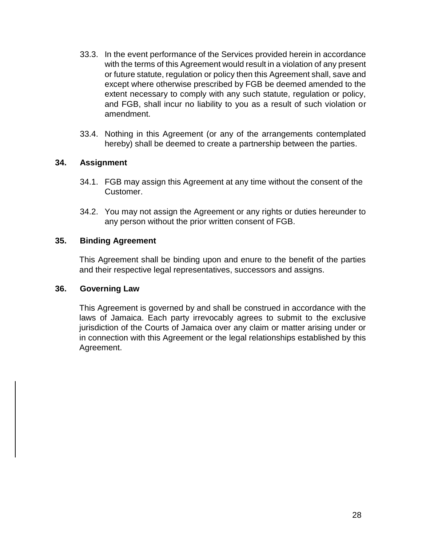- 33.3. In the event performance of the Services provided herein in accordance with the terms of this Agreement would result in a violation of any present or future statute, regulation or policy then this Agreement shall, save and except where otherwise prescribed by FGB be deemed amended to the extent necessary to comply with any such statute, regulation or policy, and FGB, shall incur no liability to you as a result of such violation or amendment.
- 33.4. Nothing in this Agreement (or any of the arrangements contemplated hereby) shall be deemed to create a partnership between the parties.

### **34. Assignment**

- 34.1. FGB may assign this Agreement at any time without the consent of the Customer.
- 34.2. You may not assign the Agreement or any rights or duties hereunder to any person without the prior written consent of FGB.

#### **35. Binding Agreement**

This Agreement shall be binding upon and enure to the benefit of the parties and their respective legal representatives, successors and assigns.

#### **36. Governing Law**

This Agreement is governed by and shall be construed in accordance with the laws of Jamaica. Each party irrevocably agrees to submit to the exclusive jurisdiction of the Courts of Jamaica over any claim or matter arising under or in connection with this Agreement or the legal relationships established by this Agreement.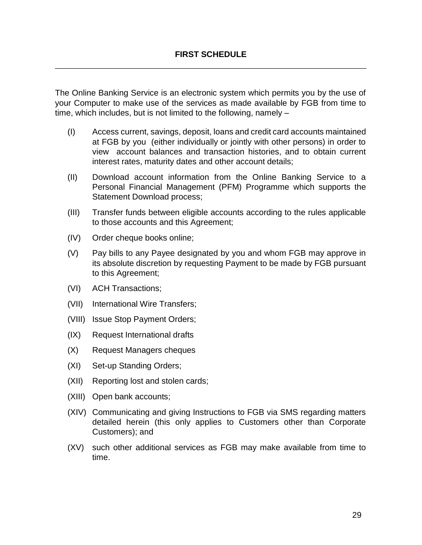The Online Banking Service is an electronic system which permits you by the use of your Computer to make use of the services as made available by FGB from time to time, which includes, but is not limited to the following, namely –

- (I) Access current, savings, deposit, loans and credit card accounts maintained at FGB by you (either individually or jointly with other persons) in order to view account balances and transaction histories, and to obtain current interest rates, maturity dates and other account details;
- (II) Download account information from the Online Banking Service to a Personal Financial Management (PFM) Programme which supports the Statement Download process;
- (III) Transfer funds between eligible accounts according to the rules applicable to those accounts and this Agreement;
- (IV) Order cheque books online;
- (V) Pay bills to any Payee designated by you and whom FGB may approve in its absolute discretion by requesting Payment to be made by FGB pursuant to this Agreement;
- (VI) ACH Transactions;
- (VII) International Wire Transfers;
- (VIII) Issue Stop Payment Orders;
- (IX) Request International drafts
- (X) Request Managers cheques
- (XI) Set-up Standing Orders;
- (XII) Reporting lost and stolen cards;
- (XIII) Open bank accounts;
- (XIV) Communicating and giving Instructions to FGB via SMS regarding matters detailed herein (this only applies to Customers other than Corporate Customers); and
- (XV) such other additional services as FGB may make available from time to time.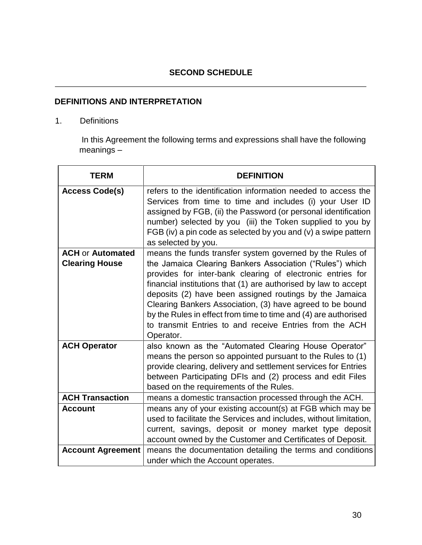# **SECOND SCHEDULE**

# **DEFINITIONS AND INTERPRETATION**

#### 1. Definitions

In this Agreement the following terms and expressions shall have the following meanings –

| <b>TERM</b>                                      | <b>DEFINITION</b>                                                                                                                                                                                                                                                                                                                                                                                                                                                                                                        |
|--------------------------------------------------|--------------------------------------------------------------------------------------------------------------------------------------------------------------------------------------------------------------------------------------------------------------------------------------------------------------------------------------------------------------------------------------------------------------------------------------------------------------------------------------------------------------------------|
| <b>Access Code(s)</b>                            | refers to the identification information needed to access the<br>Services from time to time and includes (i) your User ID<br>assigned by FGB, (ii) the Password (or personal identification<br>number) selected by you (iii) the Token supplied to you by<br>FGB (iv) a pin code as selected by you and (v) a swipe pattern<br>as selected by you.                                                                                                                                                                       |
| <b>ACH or Automated</b><br><b>Clearing House</b> | means the funds transfer system governed by the Rules of<br>the Jamaica Clearing Bankers Association ("Rules") which<br>provides for inter-bank clearing of electronic entries for<br>financial institutions that (1) are authorised by law to accept<br>deposits (2) have been assigned routings by the Jamaica<br>Clearing Bankers Association, (3) have agreed to be bound<br>by the Rules in effect from time to time and (4) are authorised<br>to transmit Entries to and receive Entries from the ACH<br>Operator. |
| <b>ACH Operator</b>                              | also known as the "Automated Clearing House Operator"<br>means the person so appointed pursuant to the Rules to (1)<br>provide clearing, delivery and settlement services for Entries<br>between Participating DFIs and (2) process and edit Files<br>based on the requirements of the Rules.                                                                                                                                                                                                                            |
| <b>ACH Transaction</b>                           | means a domestic transaction processed through the ACH.                                                                                                                                                                                                                                                                                                                                                                                                                                                                  |
| <b>Account</b>                                   | means any of your existing account(s) at FGB which may be<br>used to facilitate the Services and includes, without limitation,<br>current, savings, deposit or money market type deposit<br>account owned by the Customer and Certificates of Deposit.                                                                                                                                                                                                                                                                   |
| <b>Account Agreement</b>                         | means the documentation detailing the terms and conditions<br>under which the Account operates.                                                                                                                                                                                                                                                                                                                                                                                                                          |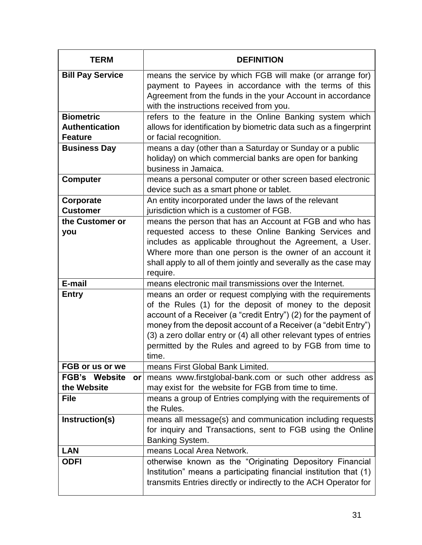| <b>TERM</b>                                  | <b>DEFINITION</b>                                                                                                                                                                                                                                                                                                                                                                                     |
|----------------------------------------------|-------------------------------------------------------------------------------------------------------------------------------------------------------------------------------------------------------------------------------------------------------------------------------------------------------------------------------------------------------------------------------------------------------|
| <b>Bill Pay Service</b>                      | means the service by which FGB will make (or arrange for)<br>payment to Payees in accordance with the terms of this<br>Agreement from the funds in the your Account in accordance<br>with the instructions received from you.                                                                                                                                                                         |
| <b>Biometric</b>                             | refers to the feature in the Online Banking system which                                                                                                                                                                                                                                                                                                                                              |
| <b>Authentication</b><br><b>Feature</b>      | allows for identification by biometric data such as a fingerprint<br>or facial recognition.                                                                                                                                                                                                                                                                                                           |
| <b>Business Day</b>                          | means a day (other than a Saturday or Sunday or a public<br>holiday) on which commercial banks are open for banking<br>business in Jamaica.                                                                                                                                                                                                                                                           |
| <b>Computer</b>                              | means a personal computer or other screen based electronic<br>device such as a smart phone or tablet.                                                                                                                                                                                                                                                                                                 |
| Corporate<br><b>Customer</b>                 | An entity incorporated under the laws of the relevant<br>jurisdiction which is a customer of FGB.                                                                                                                                                                                                                                                                                                     |
| the Customer or                              | means the person that has an Account at FGB and who has                                                                                                                                                                                                                                                                                                                                               |
| you                                          | requested access to these Online Banking Services and<br>includes as applicable throughout the Agreement, a User.<br>Where more than one person is the owner of an account it<br>shall apply to all of them jointly and severally as the case may<br>require.                                                                                                                                         |
| E-mail                                       | means electronic mail transmissions over the Internet.                                                                                                                                                                                                                                                                                                                                                |
| <b>Entry</b>                                 | means an order or request complying with the requirements<br>of the Rules (1) for the deposit of money to the deposit<br>account of a Receiver (a "credit Entry") (2) for the payment of<br>money from the deposit account of a Receiver (a "debit Entry")<br>(3) a zero dollar entry or (4) all other relevant types of entries<br>permitted by the Rules and agreed to by FGB from time to<br>time. |
| FGB or us or we                              | means First Global Bank Limited.                                                                                                                                                                                                                                                                                                                                                                      |
| <b>FGB's</b><br>Website<br>or<br>the Website | means www.firstglobal-bank.com or such other address as<br>may exist for the website for FGB from time to time.                                                                                                                                                                                                                                                                                       |
| <b>File</b>                                  | means a group of Entries complying with the requirements of<br>the Rules.                                                                                                                                                                                                                                                                                                                             |
| Instruction(s)                               | means all message(s) and communication including requests<br>for inquiry and Transactions, sent to FGB using the Online<br>Banking System.                                                                                                                                                                                                                                                            |
| <b>LAN</b>                                   | means Local Area Network.                                                                                                                                                                                                                                                                                                                                                                             |
| <b>ODFI</b>                                  | otherwise known as the "Originating Depository Financial<br>Institution" means a participating financial institution that (1)<br>transmits Entries directly or indirectly to the ACH Operator for                                                                                                                                                                                                     |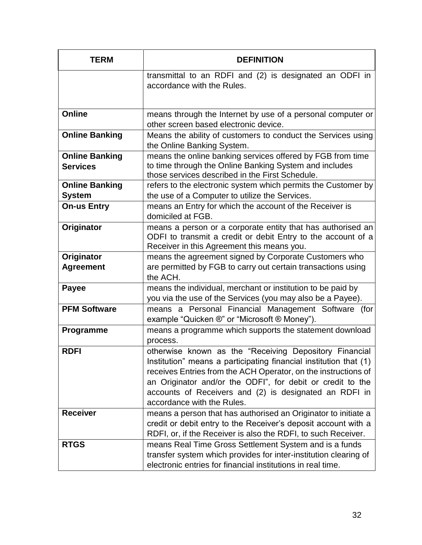| <b>TERM</b>                              | <b>DEFINITION</b>                                                                                                                                                                                                                                                                                                                                   |
|------------------------------------------|-----------------------------------------------------------------------------------------------------------------------------------------------------------------------------------------------------------------------------------------------------------------------------------------------------------------------------------------------------|
|                                          | transmittal to an RDFI and (2) is designated an ODFI in<br>accordance with the Rules.                                                                                                                                                                                                                                                               |
| <b>Online</b>                            | means through the Internet by use of a personal computer or<br>other screen based electronic device.                                                                                                                                                                                                                                                |
| <b>Online Banking</b>                    | Means the ability of customers to conduct the Services using<br>the Online Banking System.                                                                                                                                                                                                                                                          |
| <b>Online Banking</b><br><b>Services</b> | means the online banking services offered by FGB from time<br>to time through the Online Banking System and includes<br>those services described in the First Schedule.                                                                                                                                                                             |
| <b>Online Banking</b><br><b>System</b>   | refers to the electronic system which permits the Customer by<br>the use of a Computer to utilize the Services.                                                                                                                                                                                                                                     |
| <b>On-us Entry</b>                       | means an Entry for which the account of the Receiver is<br>domiciled at FGB.                                                                                                                                                                                                                                                                        |
| Originator                               | means a person or a corporate entity that has authorised an<br>ODFI to transmit a credit or debit Entry to the account of a<br>Receiver in this Agreement this means you.                                                                                                                                                                           |
| Originator                               | means the agreement signed by Corporate Customers who                                                                                                                                                                                                                                                                                               |
| <b>Agreement</b>                         | are permitted by FGB to carry out certain transactions using<br>the ACH.                                                                                                                                                                                                                                                                            |
| <b>Payee</b>                             | means the individual, merchant or institution to be paid by<br>you via the use of the Services (you may also be a Payee).                                                                                                                                                                                                                           |
| <b>PFM Software</b>                      | means a Personal Financial Management Software (for<br>example "Quicken ®" or "Microsoft ® Money").                                                                                                                                                                                                                                                 |
| Programme                                | means a programme which supports the statement download<br>process.                                                                                                                                                                                                                                                                                 |
| <b>RDFI</b>                              | otherwise known as the "Receiving Depository Financial<br>Institution" means a participating financial institution that (1)<br>receives Entries from the ACH Operator, on the instructions of<br>an Originator and/or the ODFI", for debit or credit to the<br>accounts of Receivers and (2) is designated an RDFI in<br>accordance with the Rules. |
| <b>Receiver</b>                          | means a person that has authorised an Originator to initiate a<br>credit or debit entry to the Receiver's deposit account with a<br>RDFI, or, if the Receiver is also the RDFI, to such Receiver.                                                                                                                                                   |
| <b>RTGS</b>                              | means Real Time Gross Settlement System and is a funds<br>transfer system which provides for inter-institution clearing of<br>electronic entries for financial institutions in real time.                                                                                                                                                           |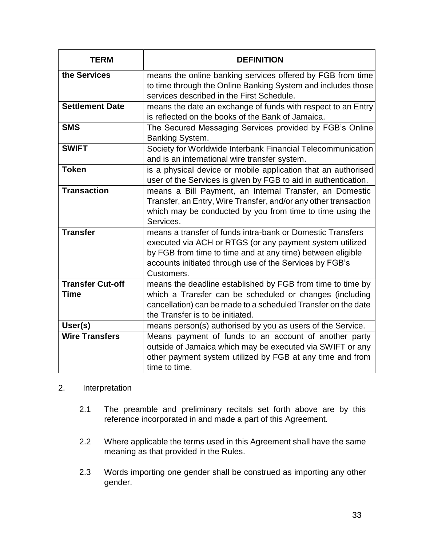| <b>TERM</b>                     | <b>DEFINITION</b>                                                                                                                                                                                                                                             |
|---------------------------------|---------------------------------------------------------------------------------------------------------------------------------------------------------------------------------------------------------------------------------------------------------------|
| the Services                    | means the online banking services offered by FGB from time<br>to time through the Online Banking System and includes those<br>services described in the First Schedule.                                                                                       |
| <b>Settlement Date</b>          | means the date an exchange of funds with respect to an Entry<br>is reflected on the books of the Bank of Jamaica.                                                                                                                                             |
| <b>SMS</b>                      | The Secured Messaging Services provided by FGB's Online<br>Banking System.                                                                                                                                                                                    |
| <b>SWIFT</b>                    | Society for Worldwide Interbank Financial Telecommunication<br>and is an international wire transfer system.                                                                                                                                                  |
| <b>Token</b>                    | is a physical device or mobile application that an authorised<br>user of the Services is given by FGB to aid in authentication.                                                                                                                               |
| <b>Transaction</b>              | means a Bill Payment, an Internal Transfer, an Domestic<br>Transfer, an Entry, Wire Transfer, and/or any other transaction<br>which may be conducted by you from time to time using the<br>Services.                                                          |
| <b>Transfer</b>                 | means a transfer of funds intra-bank or Domestic Transfers<br>executed via ACH or RTGS (or any payment system utilized<br>by FGB from time to time and at any time) between eligible<br>accounts initiated through use of the Services by FGB's<br>Customers. |
| <b>Transfer Cut-off</b><br>Time | means the deadline established by FGB from time to time by<br>which a Transfer can be scheduled or changes (including<br>cancellation) can be made to a scheduled Transfer on the date<br>the Transfer is to be initiated.                                    |
| User(s)                         | means person(s) authorised by you as users of the Service.                                                                                                                                                                                                    |
| <b>Wire Transfers</b>           | Means payment of funds to an account of another party<br>outside of Jamaica which may be executed via SWIFT or any<br>other payment system utilized by FGB at any time and from<br>time to time.                                                              |

#### 2. Interpretation

- 2.1 The preamble and preliminary recitals set forth above are by this reference incorporated in and made a part of this Agreement.
- 2.2 Where applicable the terms used in this Agreement shall have the same meaning as that provided in the Rules.
- 2.3 Words importing one gender shall be construed as importing any other gender.